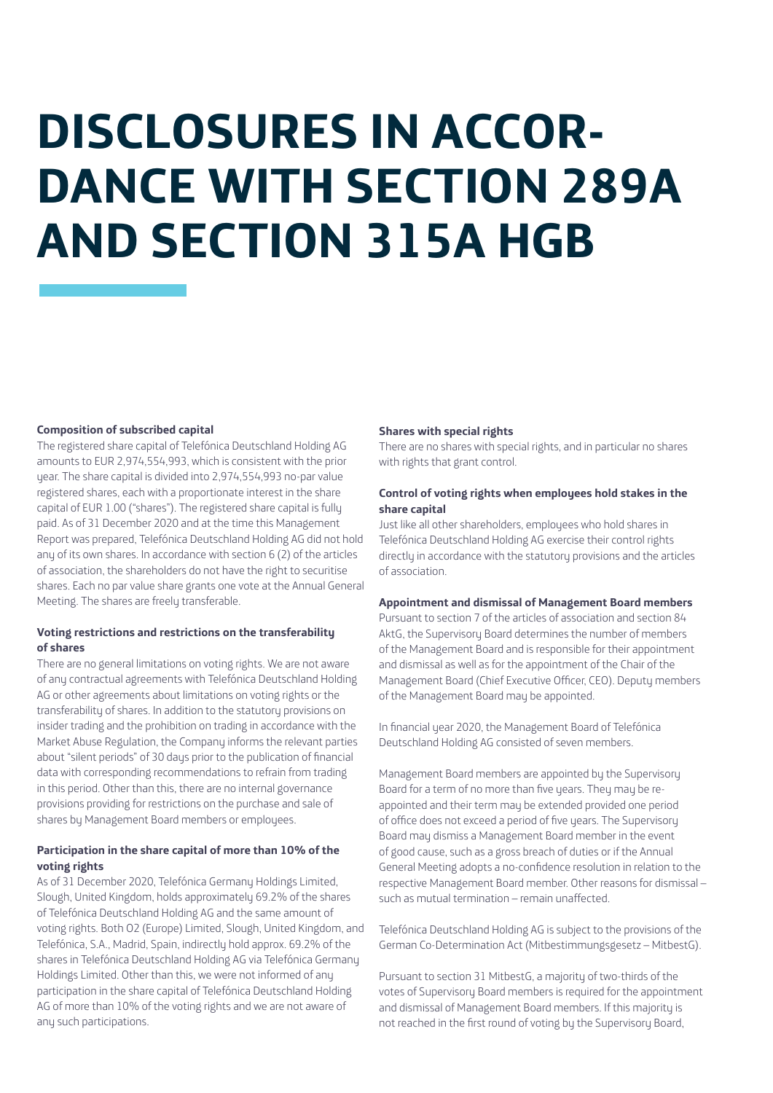# **DISCLOSURES IN ACCOR-DANCE WITH SECTION 289A AND SECTION 315A HGB**

#### **Composition of subscribed capital**

The registered share capital of Telefónica Deutschland Holding AG amounts to EUR 2,974,554,993, which is consistent with the prior year. The share capital is divided into 2,974,554,993 no-par value registered shares, each with a proportionate interest in the share capital of EUR 1.00 ("shares"). The registered share capital is fully paid. As of 31 December 2020 and at the time this Management Report was prepared, Telefónica Deutschland Holding AG did not hold any of its own shares. In accordance with section 6 (2) of the articles of association, the shareholders do not have the right to securitise shares. Each no par value share grants one vote at the Annual General Meeting. The shares are freely transferable.

# **Voting restrictions and restrictions on the transferability of shares**

There are no general limitations on voting rights. We are not aware of any contractual agreements with Telefónica Deutschland Holding AG or other agreements about limitations on voting rights or the transferability of shares. In addition to the statutory provisions on insider trading and the prohibition on trading in accordance with the Market Abuse Regulation, the Company informs the relevant parties about "silent periods" of 30 days prior to the publication of financial data with corresponding recommendations to refrain from trading in this period. Other than this, there are no internal governance provisions providing for restrictions on the purchase and sale of shares by Management Board members or employees.

# **Participation in the share capital of more than 10% of the voting rights**

As of 31 December 2020, Telefónica Germany Holdings Limited, Slough, United Kingdom, holds approximately 69.2% of the shares of Telefónica Deutschland Holding AG and the same amount of voting rights. Both O2 (Europe) Limited, Slough, United Kingdom, and Telefónica, S.A., Madrid, Spain, indirectly hold approx. 69.2% of the shares in Telefónica Deutschland Holding AG via Telefónica Germany Holdings Limited. Other than this, we were not informed of any participation in the share capital of Telefónica Deutschland Holding AG of more than 10% of the voting rights and we are not aware of any such participations.

#### **Shares with special rights**

There are no shares with special rights, and in particular no shares with rights that grant control.

# **Control of voting rights when employees hold stakes in the share capital**

Just like all other shareholders, employees who hold shares in Telefónica Deutschland Holding AG exercise their control rights directly in accordance with the statutory provisions and the articles of association.

# **Appointment and dismissal of Management Board members**

Pursuant to section 7 of the articles of association and section 84 AktG, the Supervisory Board determines the number of members of the Management Board and is responsible for their appointment and dismissal as well as for the appointment of the Chair of the Management Board (Chief Executive Officer, CEO). Deputy members of the Management Board may be appointed.

In financial year 2020, the Management Board of Telefónica Deutschland Holding AG consisted of seven members.

Management Board members are appointed by the Supervisory Board for a term of no more than five years. They may be reappointed and their term may be extended provided one period of office does not exceed a period of five years. The Supervisory Board may dismiss a Management Board member in the event of good cause, such as a gross breach of duties or if the Annual General Meeting adopts a no-confidence resolution in relation to the respective Management Board member. Other reasons for dismissal – such as mutual termination – remain unaffected.

Telefónica Deutschland Holding AG is subject to the provisions of the German Co-Determination Act (Mitbestimmungsgesetz – MitbestG).

Pursuant to section 31 MitbestG, a majority of two-thirds of the votes of Supervisory Board members is required for the appointment and dismissal of Management Board members. If this majority is not reached in the first round of voting by the Supervisory Board,